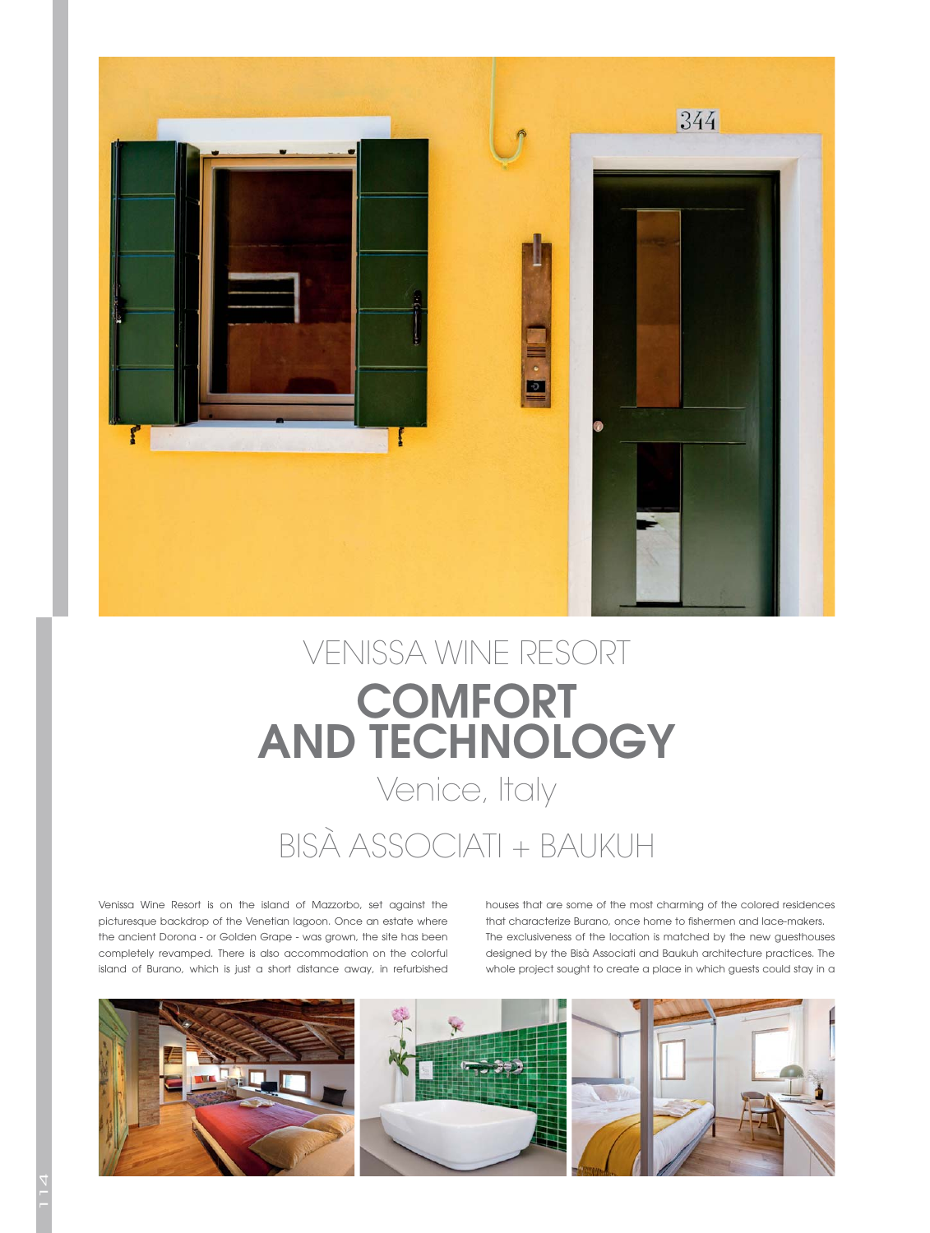

## VENISSA WINE RESORT **COMFORT AND TECHNOLOGY**

## Venice, Italy

## BISÀ ASSOCIATI + BAUKUH

Venissa Wine Resort is on the island of Mazzorbo, set against the picturesque backdrop of the Venetian lagoon. Once an estate where the ancient Dorona - or Golden Grape - was grown, the site has been completely revamped. There is also accommodation on the colorful island of Burano, which is just a short distance away, in refurbished houses that are some of the most charming of the colored residences that characterize Burano, once home to fishermen and lace-makers. The exclusiveness of the location is matched by the new guesthouses designed by the Bisà Associati and Baukuh architecture practices. The whole project sought to create a place in which guests could stay in a